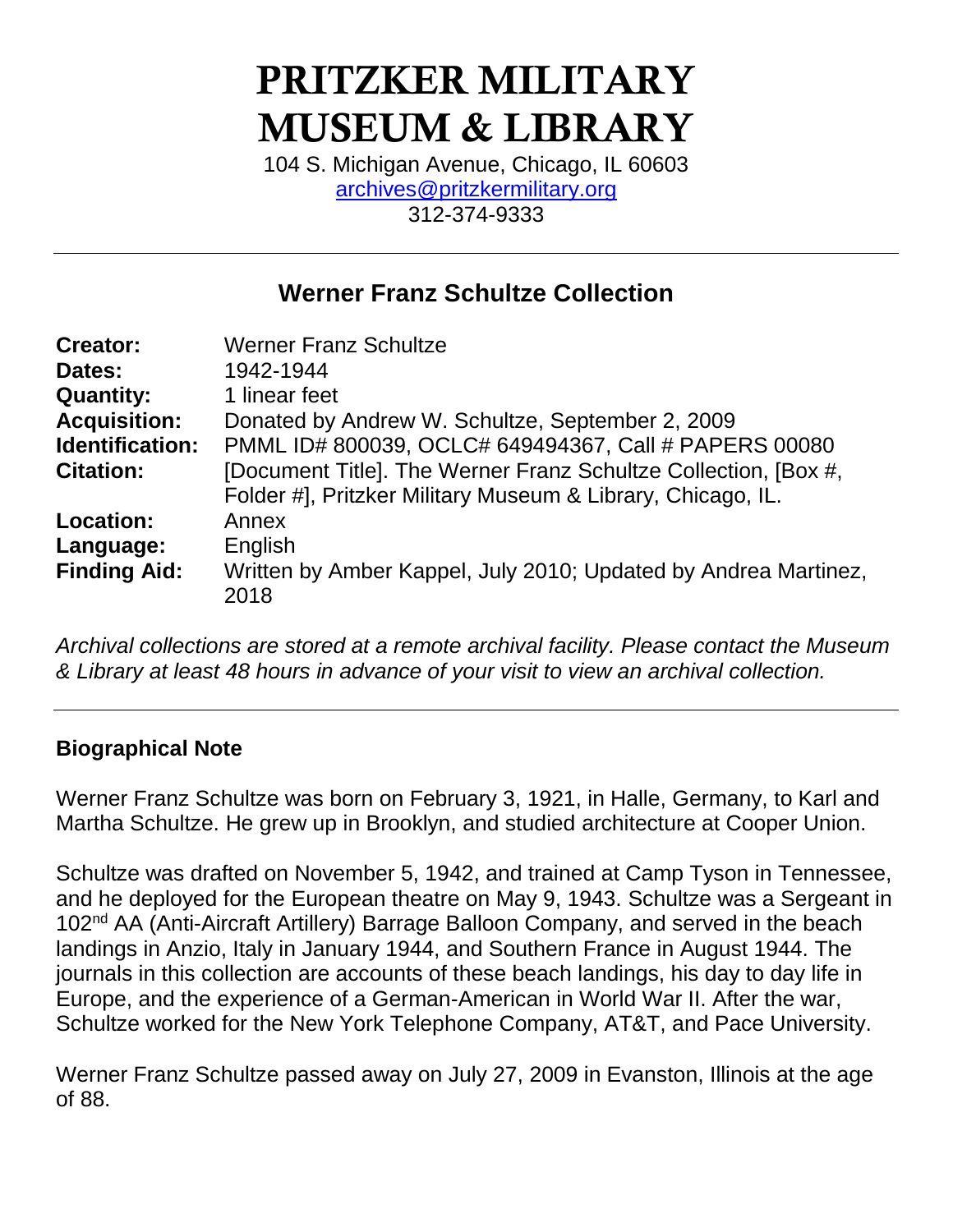# PRITZKER MILITARY MUSEUM & LIBRARY

104 S. Michigan Avenue, Chicago, IL 60603 [archives@pritzkermilitary.org](mailto:archives@pritzkermilitary.org) 312-374-9333

# **Werner Franz Schultze Collection**

| <b>Creator:</b>     | <b>Werner Franz Schultze</b>                                    |
|---------------------|-----------------------------------------------------------------|
| Dates:              | 1942-1944                                                       |
| <b>Quantity:</b>    | 1 linear feet                                                   |
| <b>Acquisition:</b> | Donated by Andrew W. Schultze, September 2, 2009                |
| Identification:     | PMML ID# 800039, OCLC# 649494367, Call # PAPERS 00080           |
| <b>Citation:</b>    | [Document Title]. The Werner Franz Schultze Collection, [Box #, |
|                     | Folder #], Pritzker Military Museum & Library, Chicago, IL.     |
| Location:           | Annex                                                           |
| Language:           | English                                                         |
| <b>Finding Aid:</b> | Written by Amber Kappel, July 2010; Updated by Andrea Martinez, |
|                     | 2018                                                            |
|                     |                                                                 |

*Archival collections are stored at a remote archival facility. Please contact the Museum & Library at least 48 hours in advance of your visit to view an archival collection.*

## **Biographical Note**

Werner Franz Schultze was born on February 3, 1921, in Halle, Germany, to Karl and Martha Schultze. He grew up in Brooklyn, and studied architecture at Cooper Union.

Schultze was drafted on November 5, 1942, and trained at Camp Tyson in Tennessee, and he deployed for the European theatre on May 9, 1943. Schultze was a Sergeant in 102<sup>nd</sup> AA (Anti-Aircraft Artillery) Barrage Balloon Company, and served in the beach landings in Anzio, Italy in January 1944, and Southern France in August 1944. The journals in this collection are accounts of these beach landings, his day to day life in Europe, and the experience of a German-American in World War II. After the war, Schultze worked for the New York Telephone Company, AT&T, and Pace University.

Werner Franz Schultze passed away on July 27, 2009 in Evanston, Illinois at the age of 88.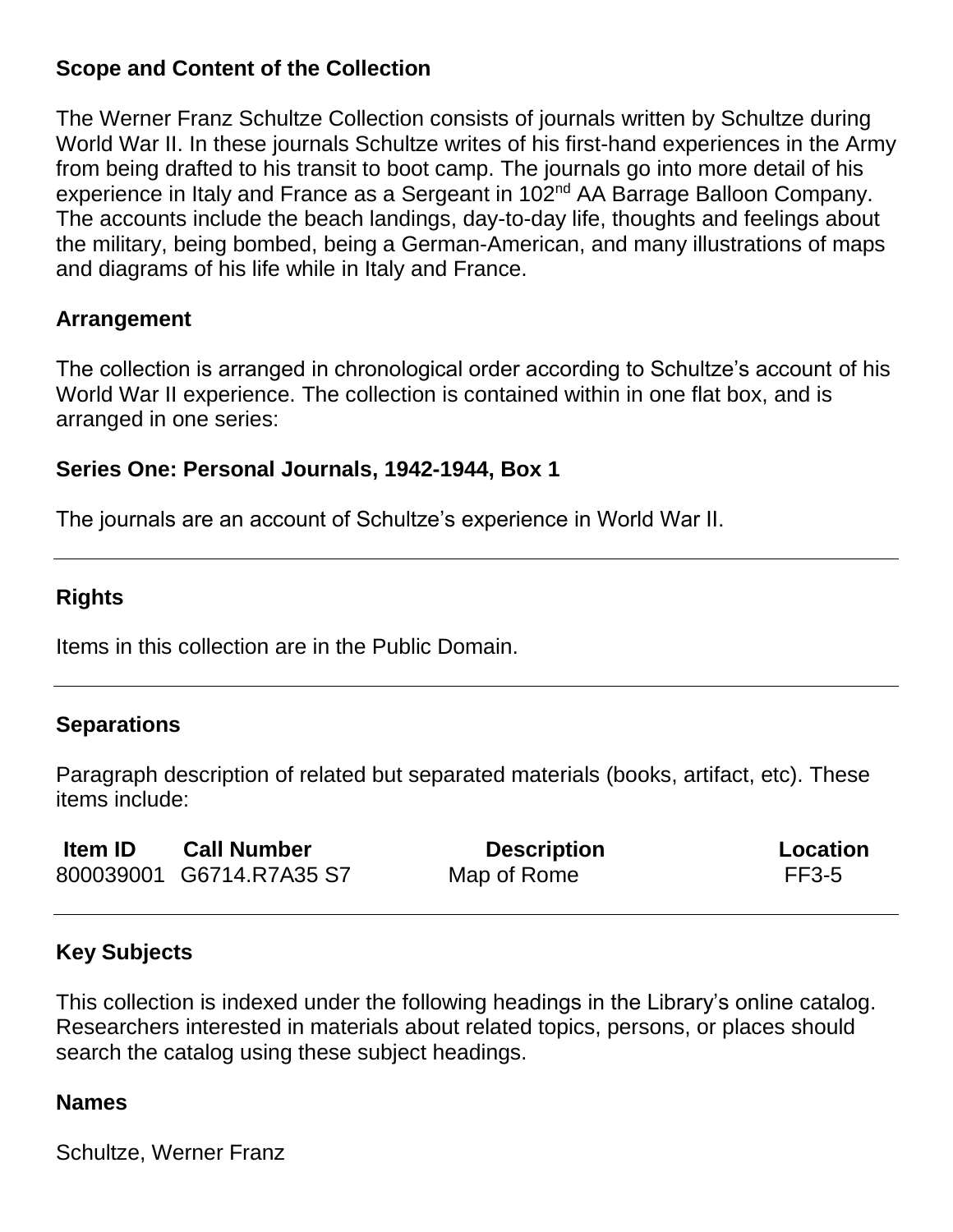#### **Scope and Content of the Collection**

The Werner Franz Schultze Collection consists of journals written by Schultze during World War II. In these journals Schultze writes of his first-hand experiences in the Army from being drafted to his transit to boot camp. The journals go into more detail of his experience in Italy and France as a Sergeant in 102<sup>nd</sup> AA Barrage Balloon Company. The accounts include the beach landings, day-to-day life, thoughts and feelings about the military, being bombed, being a German-American, and many illustrations of maps and diagrams of his life while in Italy and France.

#### **Arrangement**

The collection is arranged in chronological order according to Schultze's account of his World War II experience. The collection is contained within in one flat box, and is arranged in one series:

#### **Series One: Personal Journals, 1942-1944, Box 1**

The journals are an account of Schultze's experience in World War II.

## **Rights**

Items in this collection are in the Public Domain.

## **Separations**

Paragraph description of related but separated materials (books, artifact, etc). These items include:

| <b>Item ID</b> | <b>Call Number</b>       | <b>Description</b> | Location     |
|----------------|--------------------------|--------------------|--------------|
|                | 800039001 G6714.R7A35 S7 | Map of Rome        | <b>FF3-5</b> |

## **Key Subjects**

This collection is indexed under the following headings in the Library's online catalog. Researchers interested in materials about related topics, persons, or places should search the catalog using these subject headings.

#### **Names**

Schultze, Werner Franz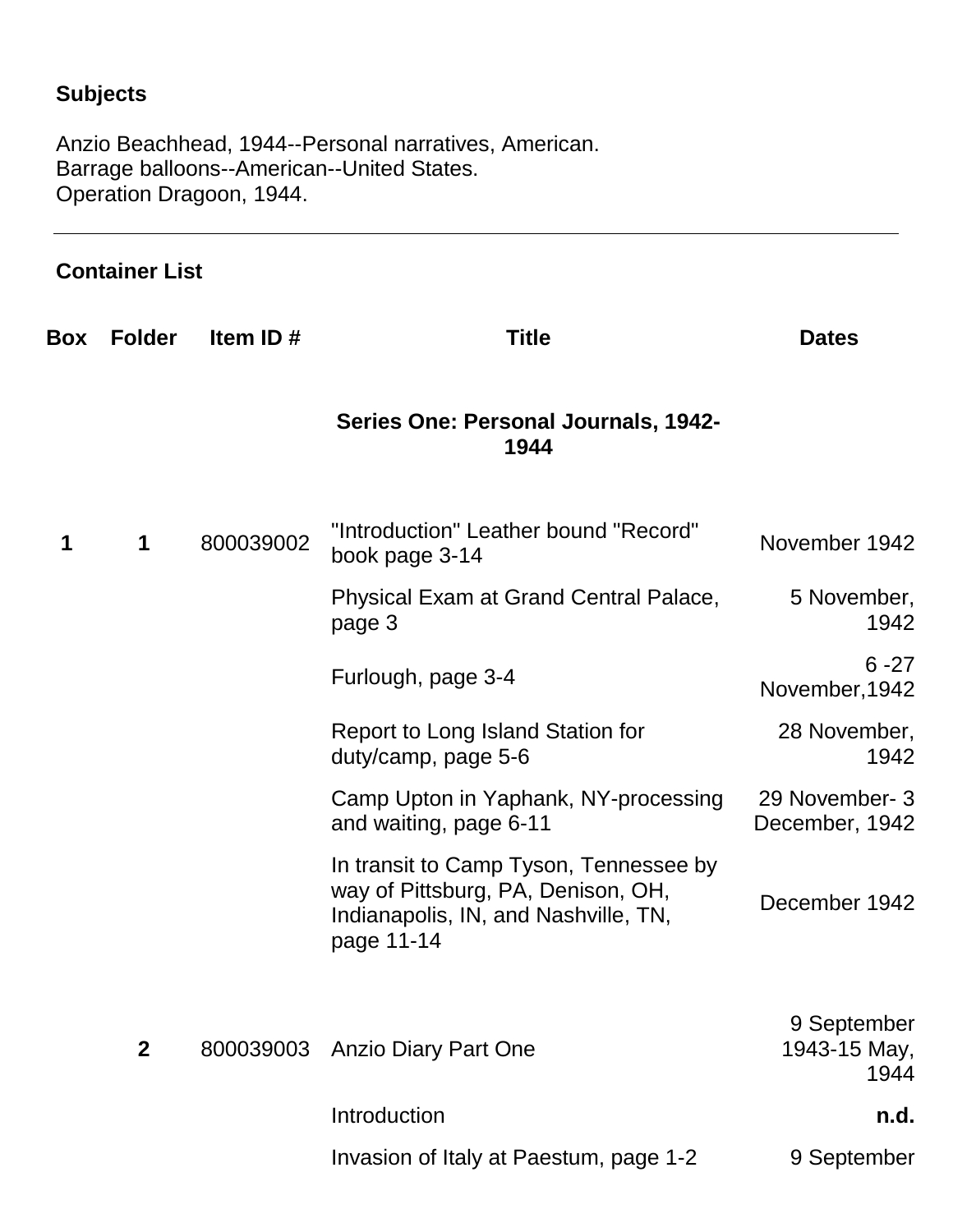# **Subjects**

Anzio Beachhead, 1944--Personal narratives, American. Barrage balloons--American--United States. Operation Dragoon, 1944.

## **Container List**

| Box | <b>Folder</b> | Item ID#  | <b>Title</b>                                                                                                                       | <b>Dates</b>                        |
|-----|---------------|-----------|------------------------------------------------------------------------------------------------------------------------------------|-------------------------------------|
|     |               |           | Series One: Personal Journals, 1942-<br>1944                                                                                       |                                     |
| 1   | $\mathbf 1$   | 800039002 | "Introduction" Leather bound "Record"<br>book page 3-14                                                                            | November 1942                       |
|     |               |           | Physical Exam at Grand Central Palace,<br>page 3                                                                                   | 5 November,<br>1942                 |
|     |               |           | Furlough, page 3-4                                                                                                                 | $6 - 27$<br>November, 1942          |
|     |               |           | Report to Long Island Station for<br>duty/camp, page 5-6                                                                           | 28 November,<br>1942                |
|     |               |           | Camp Upton in Yaphank, NY-processing<br>and waiting, page 6-11                                                                     | 29 November- 3<br>December, 1942    |
|     |               |           | In transit to Camp Tyson, Tennessee by<br>way of Pittsburg, PA, Denison, OH,<br>Indianapolis, IN, and Nashville, TN,<br>page 11-14 | December 1942                       |
|     | $\mathbf{2}$  | 800039003 | <b>Anzio Diary Part One</b>                                                                                                        | 9 September<br>1943-15 May,<br>1944 |
|     |               |           | Introduction                                                                                                                       | n.d.                                |
|     |               |           | Invasion of Italy at Paestum, page 1-2                                                                                             | 9 September                         |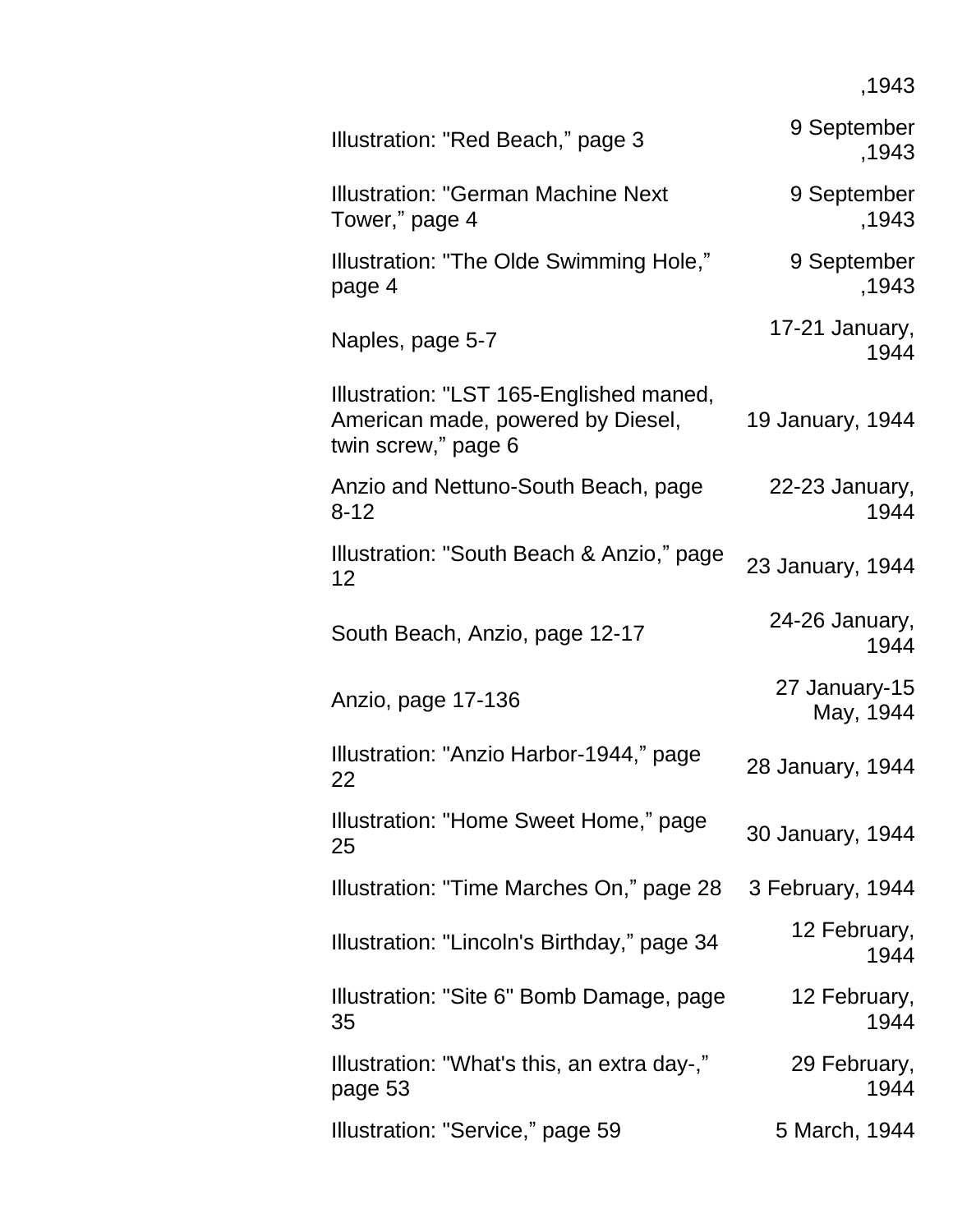,1943

| Illustration: "Red Beach," page 3                                                                   | 9 September<br>,1943       |
|-----------------------------------------------------------------------------------------------------|----------------------------|
| <b>Illustration: "German Machine Next</b><br>Tower," page 4                                         | 9 September<br>,1943       |
| Illustration: "The Olde Swimming Hole,"<br>page 4                                                   | 9 September<br>,1943       |
| Naples, page 5-7                                                                                    | 17-21 January,<br>1944     |
| Illustration: "LST 165-Englished maned,<br>American made, powered by Diesel,<br>twin screw," page 6 | 19 January, 1944           |
| Anzio and Nettuno-South Beach, page<br>$8 - 12$                                                     | 22-23 January,<br>1944     |
| Illustration: "South Beach & Anzio," page<br>12                                                     | 23 January, 1944           |
| South Beach, Anzio, page 12-17                                                                      | 24-26 January,<br>1944     |
| Anzio, page 17-136                                                                                  | 27 January-15<br>May, 1944 |
| Illustration: "Anzio Harbor-1944," page<br>22                                                       | 28 January, 1944           |
| Illustration: "Home Sweet Home," page<br>25                                                         | 30 January, 1944           |
| Illustration: "Time Marches On," page 28                                                            | 3 February, 1944           |
| Illustration: "Lincoln's Birthday," page 34                                                         | 12 February,<br>1944       |
| Illustration: "Site 6" Bomb Damage, page<br>35                                                      | 12 February,<br>1944       |
| Illustration: "What's this, an extra day-,"<br>page 53                                              | 29 February,<br>1944       |
| Illustration: "Service," page 59                                                                    | 5 March, 1944              |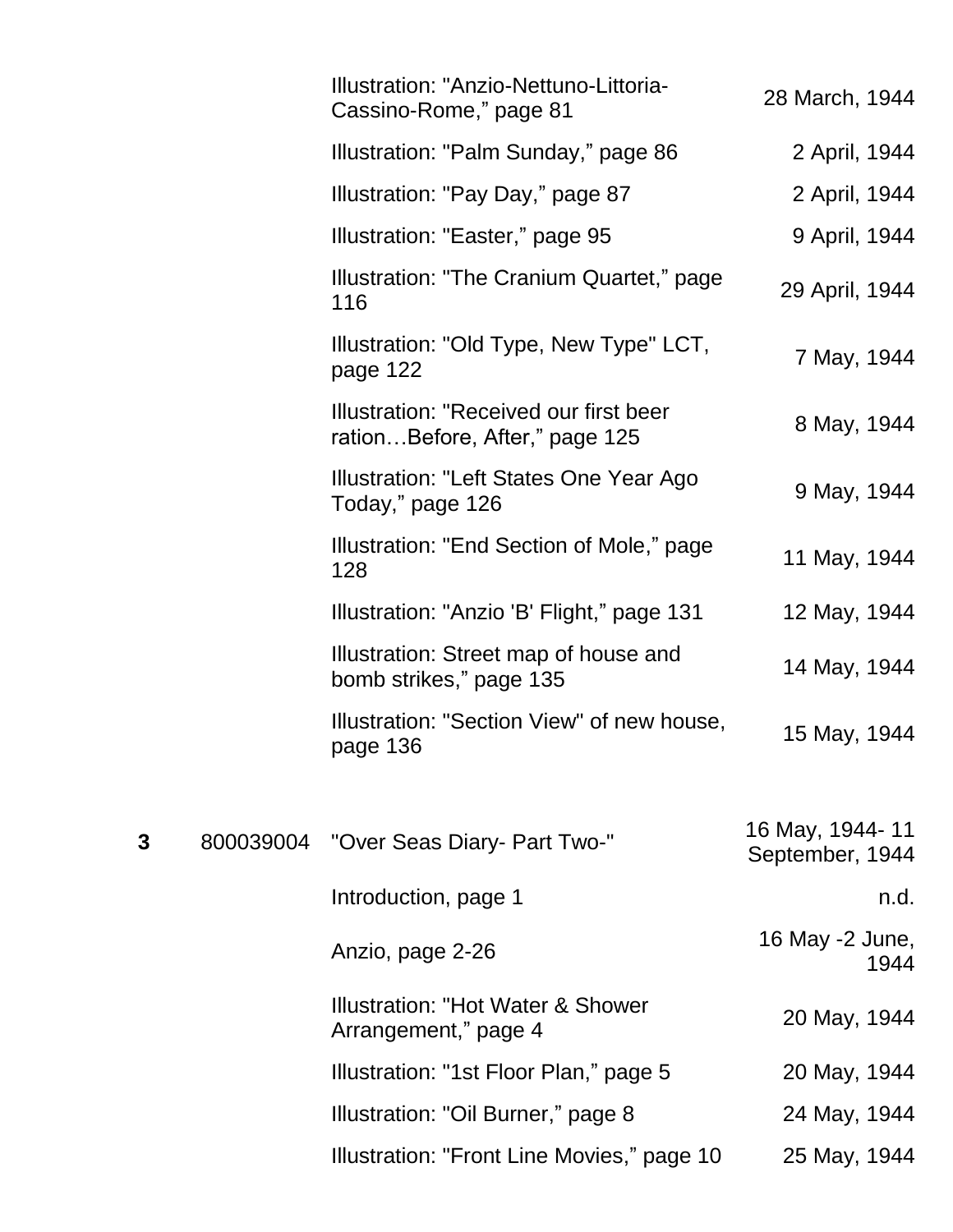|   | Illustration: "Anzio-Nettuno-Littoria-<br>Cassino-Rome," page 81         | 28 March, 1944                     |
|---|--------------------------------------------------------------------------|------------------------------------|
|   | Illustration: "Palm Sunday," page 86                                     | 2 April, 1944                      |
|   | Illustration: "Pay Day," page 87                                         | 2 April, 1944                      |
|   | Illustration: "Easter," page 95                                          | 9 April, 1944                      |
|   | Illustration: "The Cranium Quartet," page<br>116                         | 29 April, 1944                     |
|   | Illustration: "Old Type, New Type" LCT,<br>page 122                      | 7 May, 1944                        |
|   | Illustration: "Received our first beer<br>rationBefore, After," page 125 | 8 May, 1944                        |
|   | Illustration: "Left States One Year Ago<br>Today," page 126              | 9 May, 1944                        |
|   | Illustration: "End Section of Mole," page<br>128                         | 11 May, 1944                       |
|   | Illustration: "Anzio 'B' Flight," page 131                               | 12 May, 1944                       |
|   | Illustration: Street map of house and<br>bomb strikes," page 135         | 14 May, 1944                       |
|   | Illustration: "Section View" of new house,<br>page 136                   | 15 May, 1944                       |
| 3 | 800039004 "Over Seas Diary- Part Two-"                                   | 16 May, 1944-11<br>September, 1944 |
|   | Introduction, page 1                                                     | n.d.                               |
|   | Anzio, page 2-26                                                         | 16 May -2 June,<br>1944            |
|   | Illustration: "Hot Water & Shower<br>Arrangement," page 4                | 20 May, 1944                       |
|   | Illustration: "1st Floor Plan," page 5                                   | 20 May, 1944                       |
|   | Illustration: "Oil Burner," page 8                                       | 24 May, 1944                       |
|   | Illustration: "Front Line Movies," page 10                               | 25 May, 1944                       |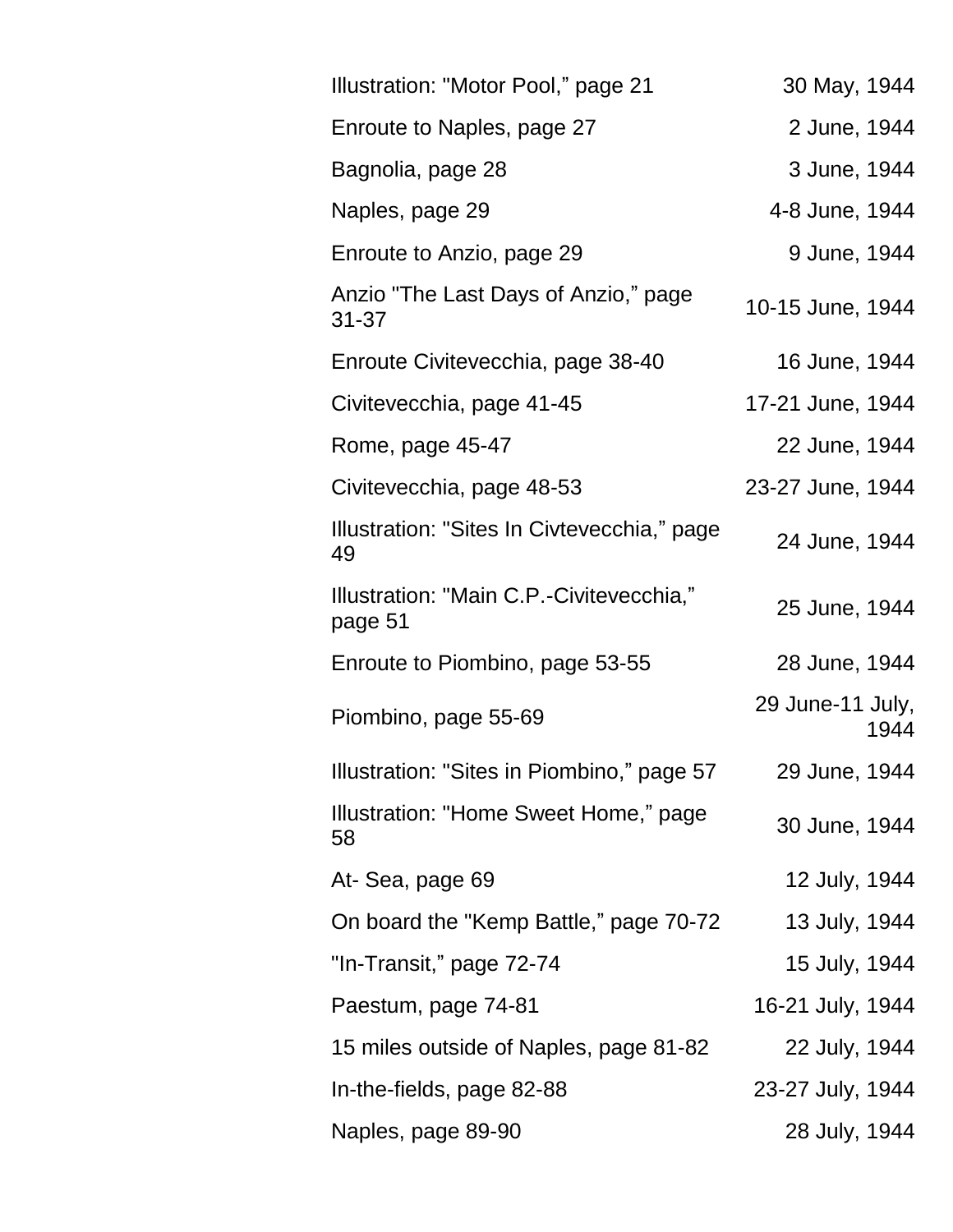| Illustration: "Motor Pool," page 21                 | 30 May, 1944             |
|-----------------------------------------------------|--------------------------|
| Enroute to Naples, page 27                          | 2 June, 1944             |
| Bagnolia, page 28                                   | 3 June, 1944             |
| Naples, page 29                                     | 4-8 June, 1944           |
| Enroute to Anzio, page 29                           | 9 June, 1944             |
| Anzio "The Last Days of Anzio," page<br>$31 - 37$   | 10-15 June, 1944         |
| Enroute Civitevecchia, page 38-40                   | 16 June, 1944            |
| Civitevecchia, page 41-45                           | 17-21 June, 1944         |
| Rome, page 45-47                                    | 22 June, 1944            |
| Civitevecchia, page 48-53                           | 23-27 June, 1944         |
| Illustration: "Sites In Civtevecchia," page<br>49   | 24 June, 1944            |
| Illustration: "Main C.P.-Civitevecchia,"<br>page 51 | 25 June, 1944            |
| Enroute to Piombino, page 53-55                     | 28 June, 1944            |
| Piombino, page 55-69                                | 29 June-11 July,<br>1944 |
| Illustration: "Sites in Piombino," page 57          | 29 June, 1944            |
| Illustration: "Home Sweet Home," page<br>58         | 30 June, 1944            |
| At-Sea, page 69                                     | 12 July, 1944            |
| On board the "Kemp Battle," page 70-72              | 13 July, 1944            |
| "In-Transit," page 72-74                            | 15 July, 1944            |
| Paestum, page 74-81                                 | 16-21 July, 1944         |
| 15 miles outside of Naples, page 81-82              | 22 July, 1944            |
| In-the-fields, page 82-88                           | 23-27 July, 1944         |
| Naples, page 89-90                                  | 28 July, 1944            |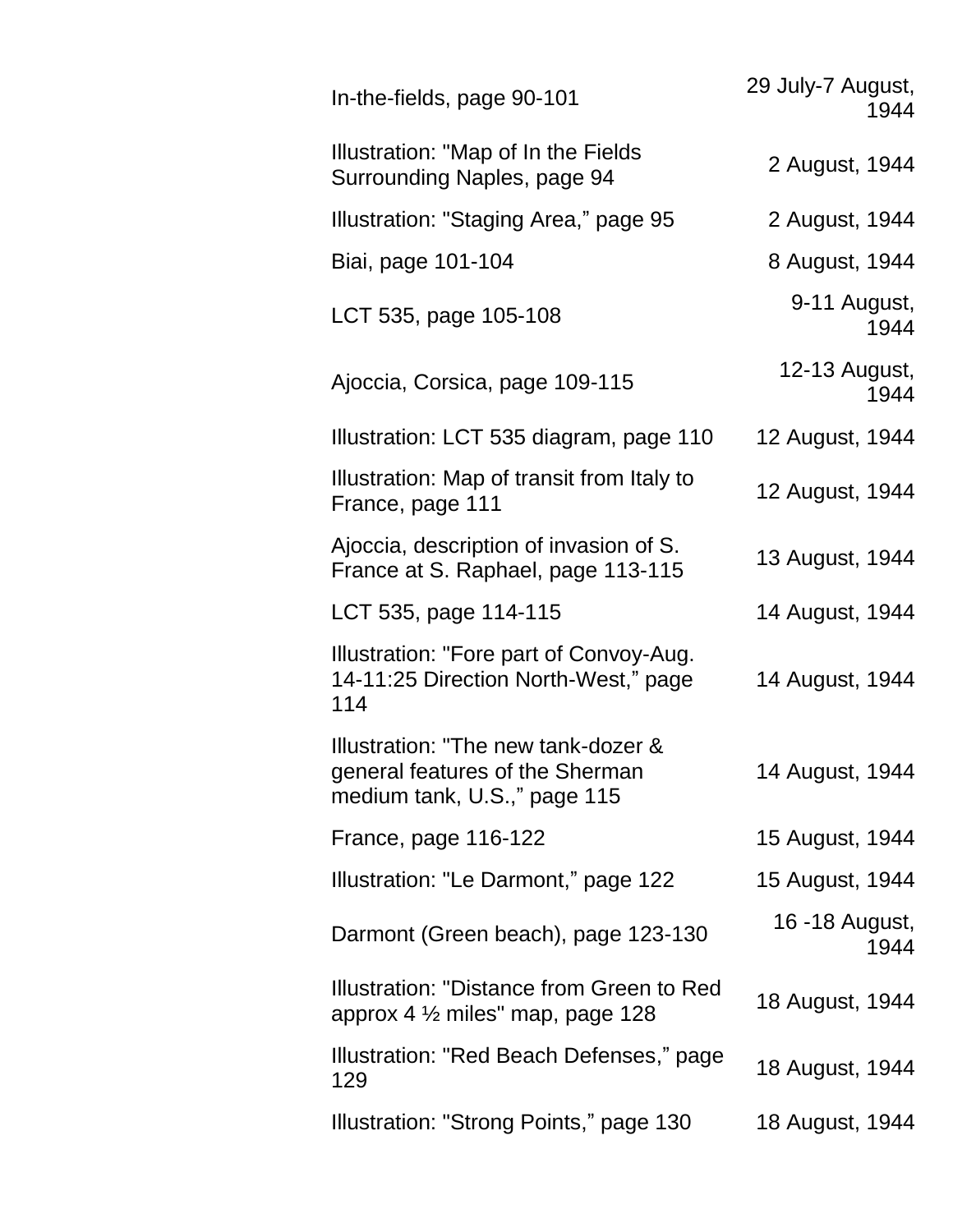| In-the-fields, page 90-101                                                                             | 29 July-7 August,<br>1944 |
|--------------------------------------------------------------------------------------------------------|---------------------------|
| Illustration: "Map of In the Fields<br>Surrounding Naples, page 94                                     | 2 August, 1944            |
| Illustration: "Staging Area," page 95                                                                  | 2 August, 1944            |
| Biai, page 101-104                                                                                     | 8 August, 1944            |
| LCT 535, page 105-108                                                                                  | 9-11 August,<br>1944      |
| Ajoccia, Corsica, page 109-115                                                                         | 12-13 August,<br>1944     |
| Illustration: LCT 535 diagram, page 110                                                                | 12 August, 1944           |
| Illustration: Map of transit from Italy to<br>France, page 111                                         | 12 August, 1944           |
| Ajoccia, description of invasion of S.<br>France at S. Raphael, page 113-115                           | 13 August, 1944           |
| LCT 535, page 114-115                                                                                  | 14 August, 1944           |
| Illustration: "Fore part of Convoy-Aug.<br>14-11:25 Direction North-West," page<br>114                 | 14 August, 1944           |
| Illustration: "The new tank-dozer &<br>general features of the Sherman<br>medium tank, U.S.," page 115 | 14 August, 1944           |
| France, page 116-122                                                                                   | 15 August, 1944           |
| Illustration: "Le Darmont," page 122                                                                   | 15 August, 1944           |
| Darmont (Green beach), page 123-130                                                                    | 16 -18 August,<br>1944    |
| Illustration: "Distance from Green to Red<br>approx 4 $\frac{1}{2}$ miles" map, page 128               | 18 August, 1944           |
| Illustration: "Red Beach Defenses," page<br>129                                                        | 18 August, 1944           |
| Illustration: "Strong Points," page 130                                                                | 18 August, 1944           |